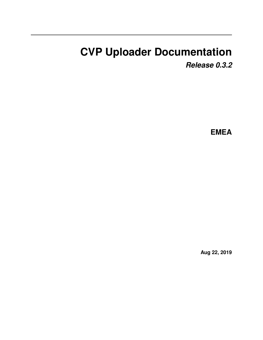# <span id="page-0-0"></span>**CVP Uploader Documentation**

*Release 0.3.2*

**EMEA**

**Aug 22, 2019**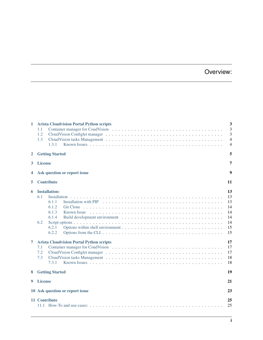## Overview:

| 1      | <b>Arista Cloudvision Portal Python scripts</b><br>1.1<br>1.2<br>1.3<br>1.3.1                                                                                      | 3<br>3<br>3<br>$\overline{4}$<br>$\overline{4}$                |  |  |  |  |  |  |  |  |  |  |  |
|--------|--------------------------------------------------------------------------------------------------------------------------------------------------------------------|----------------------------------------------------------------|--|--|--|--|--|--|--|--|--|--|--|
| 2      | <b>Getting Started</b><br>5                                                                                                                                        |                                                                |  |  |  |  |  |  |  |  |  |  |  |
| 3      | <b>License</b><br>7                                                                                                                                                |                                                                |  |  |  |  |  |  |  |  |  |  |  |
| 4      | Ask question or report issue<br>9                                                                                                                                  |                                                                |  |  |  |  |  |  |  |  |  |  |  |
| 5      | <b>Contribute</b>                                                                                                                                                  | 11                                                             |  |  |  |  |  |  |  |  |  |  |  |
| 6<br>7 | <b>Installation:</b><br>6.1<br>Installation<br>6.1.1<br>6.1.2<br>6.1.3<br>6.1.4<br>6.2<br>6.2.1<br>6.2.2<br><b>Arista Cloudvision Portal Python scripts</b><br>7.1 | 13<br>13<br>13<br>14<br>14<br>14<br>14<br>15<br>15<br>17<br>17 |  |  |  |  |  |  |  |  |  |  |  |
|        | 7.2<br>7.3<br>7.3.1                                                                                                                                                | 17<br>18<br>18                                                 |  |  |  |  |  |  |  |  |  |  |  |
| 8      | <b>Getting Started</b>                                                                                                                                             | 19                                                             |  |  |  |  |  |  |  |  |  |  |  |
| 9      | <b>License</b><br>21                                                                                                                                               |                                                                |  |  |  |  |  |  |  |  |  |  |  |
|        | 23<br>10 Ask question or report issue                                                                                                                              |                                                                |  |  |  |  |  |  |  |  |  |  |  |
|        | 11 Contribute<br>25<br>25                                                                                                                                          |                                                                |  |  |  |  |  |  |  |  |  |  |  |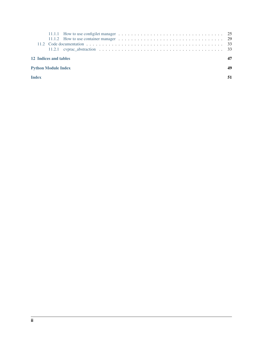| 12 Indices and tables      |  |  |  |  |  |  |  |  |  |  |  |  |  |  |  |  |
|----------------------------|--|--|--|--|--|--|--|--|--|--|--|--|--|--|--|--|
| <b>Python Module Index</b> |  |  |  |  |  |  |  |  |  |  |  |  |  |  |  |  |
| <b>Index</b>               |  |  |  |  |  |  |  |  |  |  |  |  |  |  |  |  |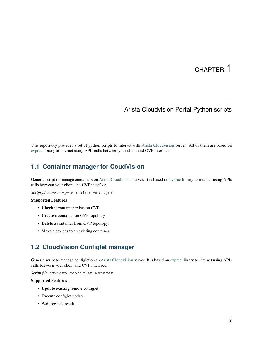## CHAPTER<sup>1</sup>

## Arista Cloudvision Portal Python scripts

<span id="page-6-0"></span>This repository provides a set of python scripts to interact with [Arista Cloudvision](https://www.arista.com/en/products/eos/eos-cloudvision) server. All of them are based on [cvprac](https://github.com/aristanetworks/cvprac) library to interact using APIs calls between your client and CVP interface.

## <span id="page-6-1"></span>**1.1 Container manager for CoudVision**

Generic script to manage containers on [Arista Cloudvision](https://www.arista.com/en/products/eos/eos-cloudvision) server. It is based on [cvprac](https://github.com/aristanetworks/cvprac) library to interact using APIs calls between your client and CVP interface.

*Script filename*: cvp-container-manager

#### Supported Features

- Check if container exists on CVP.
- Create a container on CVP topology
- Delete a container from CVP topology.
- Move a devices to an existing container.

### <span id="page-6-2"></span>**1.2 CloudVision Configlet manager**

Generic script to manage configlet on an [Arista Cloudvision](https://www.arista.com/en/products/eos/eos-cloudvision) server. It is based on [cvprac](https://github.com/aristanetworks/cvprac) library to interact using APIs calls between your client and CVP interface.

*Script filename*: cvp-configlet-manager

#### Supported Features

- Update existing remote configlet.
- Execute configlet update.
- Wait for task result.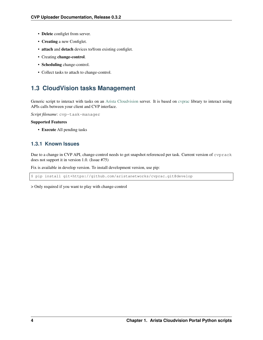- Delete configlet from server.
- Creating a new Configlet.
- attach and detach devices to/from existing configlet.
- Creating change-control.
- Scheduling change-control.
- Collect tasks to attach to change-control.

## <span id="page-7-0"></span>**1.3 CloudVision tasks Management**

Generic script to interact with tasks on an [Arista Cloudvision](https://www.arista.com/en/products/eos/eos-cloudvision) server. It is based on [cvprac](https://github.com/aristanetworks/cvprac) library to interact using APIs calls between your client and CVP interface.

*Script filename*: cvp-task-manager

#### Supported Features

• Execute All pending tasks

### <span id="page-7-1"></span>**1.3.1 Known Issues**

Due to a change in CVP API, change-control needs to get snapshot referenced per task. Current version of cvprack does not support it in version 1.0. (Issue #75)

Fix is available in develop version. To install development version, use pip:

\$ pip install git+https://github.com/aristanetworks/cvprac.git@develop

> Only required if you want to play with change-control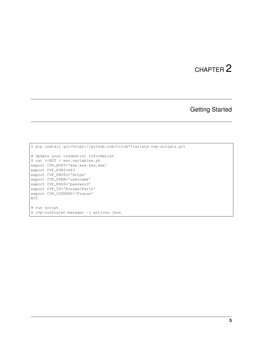## Getting Started

```
$ pip install git+https://github.com/titom73/arista-cvp-scripts.git
# Update your credential information
$ cat <<EOT > env.variables.sh
export CVP_HOST='xxx.xxx.xxx.xxx'
export CVP_PORT=443
export CVP_PROTO='https'
export CVP_USER='username'
export CVP_PASS='password'
export CVP_TZ='Europe/Paris'
export CVP_COUNTRY='France'
EOT
# run script
$ cvp-configlet-manager -j actions.json
```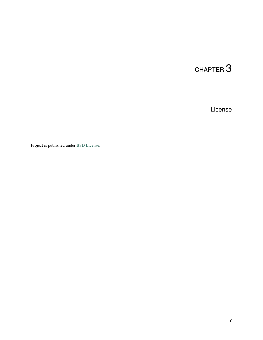License

<span id="page-10-0"></span>Project is published under [BSD License.](#page-0-0)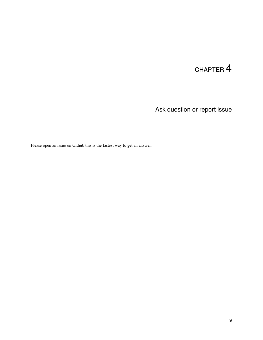Ask question or report issue

<span id="page-12-0"></span>Please open an issue on Github this is the fastest way to get an answer.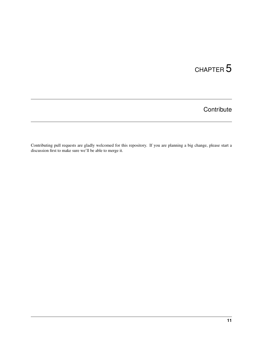## **Contribute**

<span id="page-14-0"></span>Contributing pull requests are gladly welcomed for this repository. If you are planning a big change, please start a discussion first to make sure we'll be able to merge it.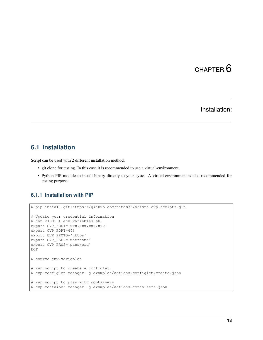## Installation:

### <span id="page-16-1"></span><span id="page-16-0"></span>**6.1 Installation**

Script can be used with 2 different installation method:

- git clone for testing. In this case it is recommended to use a virtual-environment
- Python PIP module to install binary directly to your syste. A virtual-environment is also recommended for testing purpose.

### <span id="page-16-2"></span>**6.1.1 Installation with PIP**

```
$ pip install git+https://github.com/titom73/arista-cvp-scripts.git
# Update your credential information
$ cat <<EOT > env.variables.sh
export CVP_HOST='xxx.xxx.xxx.xxx'
export CVP_PORT=443
export CVP_PROTO='https'
export CVP_USER='username'
export CVP_PASS='password'
EOT
$ source env.variables
# run script to create a configlet
$ cvp-configlet-manager -j examples/actions.configlet.create.json
# run script to play with containers
$ cvp-container-manager -j examples/actions.containers.json
```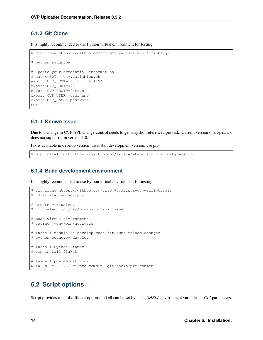### <span id="page-17-0"></span>**6.1.2 Git Clone**

It is highly recommended to use Python virtual environment for testing

```
$ git clone https://github.com/titom73/arista-cvp-scripts.git
$ python setup.py
# Update your credential information
$ cat <<EOT > env.variables.sh
export CVP_HOST='13.57.194.119'
export CVP_PORT=443
export CVP_PROTO='https'
export CVP_USER='username'
export CVP_PASS='password'
EOT
```
### <span id="page-17-1"></span>**6.1.3 Known Issue**

Due to a change in CVP API, change-control needs to get snapshot referenced per task. Current version of cvprack does not support it in version 1.0.1

Fix is available in develop version. To install development version, use pip:

```
$ pip install git+https://github.com/aristanetworks/cvprac.git@develop
```
### <span id="page-17-2"></span>**6.1.4 Build development environment**

It is highly recommended to use Python virtual environment for testing

```
$ git clone https://github.com/titom73/arista-cvp-scripts.git
$ cd arista-cvp-scripts
# Create virtualenv
$ virtualenv -p /usr/bin/python2.7 .venv
# Load virtualenvironment
$ source .venv/bin/activate
# Install module in develop mode for auto reload changes
$ python setup.py develop
# Install Python linter
$ pip install flake8
# Install pre-commit hook
$ ln -s -f ../../.ci/pre-commit .git/hooks/pre-commit
```
## <span id="page-17-3"></span>**6.2 Script options**

Script provides a set of different options and all can be set by using *SHELL* environment variables or *CLI* parameters.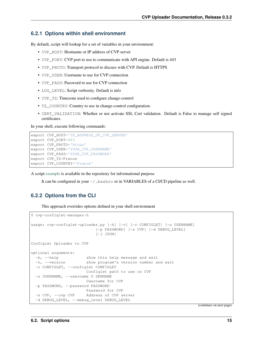#### <span id="page-18-0"></span>**6.2.1 Options within shell environment**

By default, script will lookup for a set of variables in your environment:

- CVP\_HOST: Hostname or IP address of CVP server
- CVP\_PORT: CVP port to use to communicate with API engine. Default is 443
- CVP\_PROTO: Transport protocol to discuss with CVP. Default is HTTPS
- CVP\_USER: Username to use for CVP connection
- CVP\_PASS: Password to use for CVP connection
- LOG LEVEL: Script verbosity. Default is info
- CVP\_TZ: Timezone used to configure change-control
- TZ\_COUNTRY: Country to use in change-control configuration.
- CERT\_VALIDATION: Whether or not activate SSL Cert validation. Default is False to manage self signed certificates.

In your shell, execute following commands:

```
export CVP_HOST='IP_ADDRESS_OF_CVP_SERVER'
export CVP_PORT=443
export CVP_PROTO='https'
export CVP_USER='YOUR_CVP_USERNAME'
export CVP_PASS='YOUR_CVP_PASSWORD'
export CVP_TZ=France
export CVP_COUNTRY='France'
```
A script [example](https://github.com/titom73/arista-cvp-scripts/blob/master/env.variables) is available in the repository for informational purpose

It can be configured in your ~/.bashrc or in VARIABLES of a CI/CD pipeline as well.

#### <span id="page-18-1"></span>**6.2.2 Options from the CLI**

This approach overrides options defined in your shell environment

```
$ cvp-configlet-manager-h
usage: cvp-configlet-uploader.py [-h] [-v] [-c CONFIGLET] [-u USERNAME]
                          [-p PASSWORD] [-s CVP] [-d DEBUG_LEVEL]
                           [-j JSON]
Configlet Uploader to CVP
optional arguments:
  -h, --help show this help message and exit
  -v, --version show program's version number and exit
 -c CONFIGLET, --configlet CONFIGLET
                      Configlet path to use on CVP
 -u USERNAME, --username U SERNAME
                      Username for CVP
 -p PASSWORD, --password PASSWORD
                      Password for CVP
 -s CVP, --cvp CVP Address of CVP server
 -d DEBUG_LEVEL, --debug_level DEBUG_LEVEL
```
(continues on next page)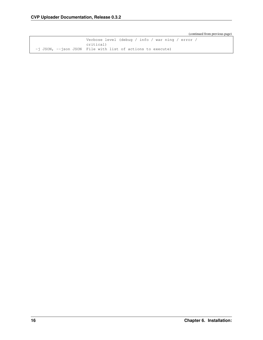(continued from previous page)

```
Verbose level (debug / info / war ning / error /
                      critical)
-j JSON, --json JSON File with list of actions to execute)
```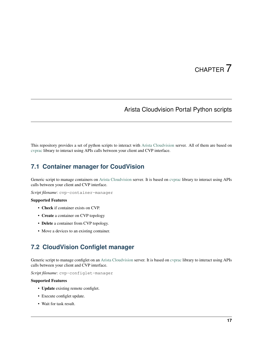## Arista Cloudvision Portal Python scripts

<span id="page-20-0"></span>This repository provides a set of python scripts to interact with [Arista Cloudvision](https://www.arista.com/en/products/eos/eos-cloudvision) server. All of them are based on [cvprac](https://github.com/aristanetworks/cvprac) library to interact using APIs calls between your client and CVP interface.

## <span id="page-20-1"></span>**7.1 Container manager for CoudVision**

Generic script to manage containers on [Arista Cloudvision](https://www.arista.com/en/products/eos/eos-cloudvision) server. It is based on [cvprac](https://github.com/aristanetworks/cvprac) library to interact using APIs calls between your client and CVP interface.

*Script filename*: cvp-container-manager

#### Supported Features

- Check if container exists on CVP.
- Create a container on CVP topology
- Delete a container from CVP topology.
- Move a devices to an existing container.

## <span id="page-20-2"></span>**7.2 CloudVision Configlet manager**

Generic script to manage configlet on an [Arista Cloudvision](https://www.arista.com/en/products/eos/eos-cloudvision) server. It is based on [cvprac](https://github.com/aristanetworks/cvprac) library to interact using APIs calls between your client and CVP interface.

*Script filename*: cvp-configlet-manager

#### Supported Features

- Update existing remote configlet.
- Execute configlet update.
- Wait for task result.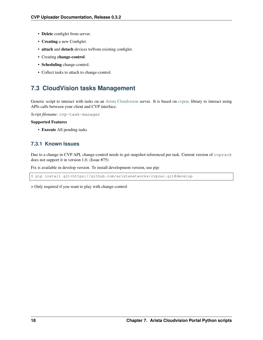- Delete configlet from server.
- Creating a new Configlet.
- attach and detach devices to/from existing configlet.
- Creating change-control.
- Scheduling change-control.
- Collect tasks to attach to change-control.

## <span id="page-21-0"></span>**7.3 CloudVision tasks Management**

Generic script to interact with tasks on an [Arista Cloudvision](https://www.arista.com/en/products/eos/eos-cloudvision) server. It is based on [cvprac](https://github.com/aristanetworks/cvprac) library to interact using APIs calls between your client and CVP interface.

*Script filename*: cvp-task-manager

#### Supported Features

• Execute All pending tasks

### <span id="page-21-1"></span>**7.3.1 Known Issues**

Due to a change in CVP API, change-control needs to get snapshot referenced per task. Current version of cvprack does not support it in version 1.0. (Issue #75)

Fix is available in develop version. To install development version, use pip:

\$ pip install git+https://github.com/aristanetworks/cvprac.git@develop

> Only required if you want to play with change-control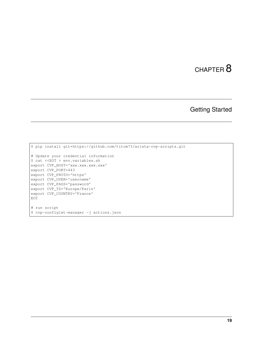## CHAPTER<sup>8</sup>

Getting Started

```
$ pip install git+https://github.com/titom73/arista-cvp-scripts.git
# Update your credential information
$ cat <<EOT > env.variables.sh
export CVP_HOST='xxx.xxx.xxx.xxx'
export CVP_PORT=443
export CVP_PROTO='https'
export CVP_USER='username'
export CVP_PASS='password'
export CVP_TZ='Europe/Paris'
export CVP_COUNTRY='France'
EOT
# run script
$ cvp-configlet-manager -j actions.json
```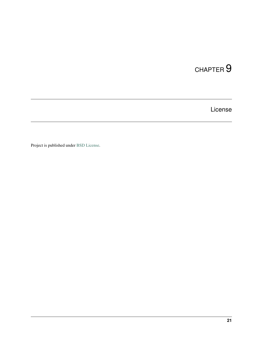## CHAPTER<sup>9</sup>

License

<span id="page-24-0"></span>Project is published under [BSD License.](#page-0-0)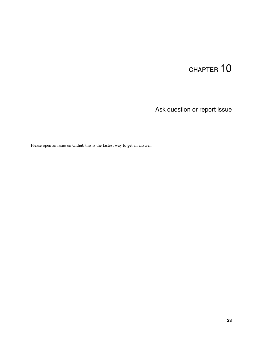Ask question or report issue

<span id="page-26-0"></span>Please open an issue on Github this is the fastest way to get an answer.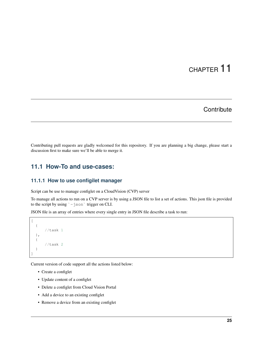## **Contribute**

<span id="page-28-0"></span>Contributing pull requests are gladly welcomed for this repository. If you are planning a big change, please start a discussion first to make sure we'll be able to merge it.

### <span id="page-28-1"></span>**11.1 How-To and use-cases:**

#### <span id="page-28-2"></span>**11.1.1 How to use configilet manager**

Script can be use to manage configlet on a CloudVision (CVP) server

To manage all actions to run on a CVP server is by using a JSON file to list a set of actions. This json file is provided to the script by using `-json` trigger on CLI.

JSON file is an array of entries where every single entry in JSON file describe a task to run:

```
{
       //task 1
  },
  {
       //task 2
  }
]
```
 $\lceil$ 

Current version of code support all the actions listed below:

- Create a configlet
- Update content of a configlet
- Delete a configlet from Cloud Vision Portal
- Add a device to an existing configlet
- Remove a device from an existing configlet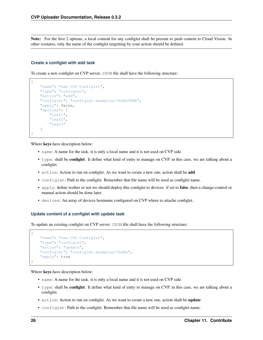Note: For the first 2 options, a local content for any configlet shall be present to push content to Cloud Vision. In other scenario, only the name of the configlet targetting by your action should be defined.

#### **Create a configlet with add task**

{

To create a new configlet on CVP server, JSON file shall have the following structure:

```
"name": "new CVP Configlet",
    "type": "configlet",
    "action": "add",
    "configlet": "configlet.examples/VLANsTEMP",
    "apply": false,
    "devices": [
        "leaf1",
        "leaf2",
        "leaf3"
    ]
}
```
Where keys have description below:

- name: A name for the task. it is only a local name and it is not used on CVP side.
- type: shall be **configlet**. It define what kind of entry to manage on CVP. in this case, we are talking about a configlet.
- action: Action to run on configlet. As we want to create a new one, action shall be add
- configlet: Path to the configlet. Remember that file name will be used as configlet name.
- apply: define wether or not we should deploy this configlet to devices. if set to **false**, then a change-control or manual action should be done later.
- devices: An array of devices hostname configured on CVP where to attache configlet.

#### **Update content of a configlet with update task**

To update an existing configlet on CVP server, JSON file shall have the following structure:

```
"name": "new CVP Configlet",
"type": "configlet",
"action": "update",
"configlet": "configlet.examples/VLANs",
"apply": true
```
Where keys have description below:

- name: A name for the task. it is only a local name and it is not used on CVP side.
- type: shall be **configlet**. It define what kind of entry to manage on CVP. in this case, we are talking about a configlet.
- action: Action to run on configlet. As we want to create a new one, action shall be update
- configlet: Path to the configlet. Remember that file name will be used as configlet name.

{

}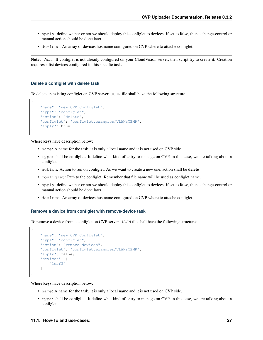- apply: define wether or not we should deploy this configlet to devices. if set to **false**, then a change-control or manual action should be done later.
- devices: An array of devices hostname configured on CVP where to attache configlet.

Note: *Note:* If configlet is not already configured on your CloudVision server, then script try to create it. Creation requires a list devices configured in this specific task.

#### **Delete a configlet with delete task**

{

}

To delete an existing configlet on CVP server, JSON file shall have the following structure:

```
"name": "new CVP Configlet",
"type": "configlet",
"action": "delete",
"configlet": "configlet.examples/VLANsTEMP",
"apply": true
```
Where keys have description below:

- name: A name for the task. it is only a local name and it is not used on CVP side.
- type: shall be configlet. It define what kind of entry to manage on CVP. in this case, we are talking about a configlet.
- action: Action to run on configlet. As we want to create a new one, action shall be delete
- configlet: Path to the configlet. Remember that file name will be used as configlet name.
- apply: define wether or not we should deploy this configlet to devices. if set to false, then a change-control or manual action should be done later.
- devices: An array of devices hostname configured on CVP where to attache configlet.

#### **Remove a device from configlet with remove-device task**

To remove a device from a configlet on CVP server, JSON file shall have the following structure:

```
{
    "name": "new CVP Configlet",
    "type": "configlet",
    "action": "remove-devices",
    "configlet": "configlet.examples/VLANsTEMP",
    "apply": false,
    "devices": [
        "leaf3"
    ]
}
```
Where keys have description below:

- name: A name for the task. it is only a local name and it is not used on CVP side.
- type: shall be configlet. It define what kind of entry to manage on CVP. in this case, we are talking about a configlet.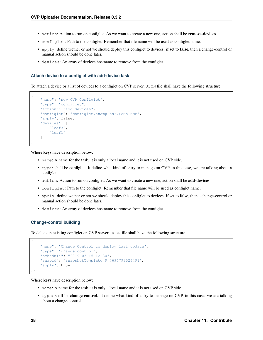- action: Action to run on configlet. As we want to create a new one, action shall be **remove-devices**
- configlet: Path to the configlet. Remember that file name will be used as configlet name.
- apply: define wether or not we should deploy this configlet to devices. if set to **false**, then a change-control or manual action should be done later.
- devices: An array of devices hostname to remove from the configlet.

#### **Attach device to a configlet with add-device task**

To attach a device or a list of devices to a configlet on CVP server, JSON file shall have the following structure:

```
{
    "name": "new CVP Configlet",
    "type": "configlet",
    "action": "add-devices",
    "configlet": "configlet.examples/VLANsTEMP",
    "apply": false,
    "devices": [
        "leaf3",
        "leaf1"
    ]
}
```
Where keys have description below:

- name: A name for the task. it is only a local name and it is not used on CVP side.
- type: shall be configlet. It define what kind of entry to manage on CVP. in this case, we are talking about a configlet.
- action: Action to run on configlet. As we want to create a new one, action shall be add-devices
- configlet: Path to the configlet. Remember that file name will be used as configlet name.
- apply: define wether or not we should deploy this configlet to devices. if set to **false**, then a change-control or manual action should be done later.
- devices: An array of devices hostname to remove from the configlet.

#### **Change-control building**

To delete an existing configlet on CVP server, JSON file shall have the following structure:

```
"name": "Change Control to deploy last update",
    "type": "change-control",
    "schedule": "2019-03-15-12-30",
    "snapid": "snapshotTemplate_9_4694793526491",
    "apply": true,
},
```
Where keys have description below:

- name: A name for the task. it is only a local name and it is not used on CVP side.
- type: shall be **change-control**. It define what kind of entry to manage on CVP, in this case, we are talking about a change-control.

{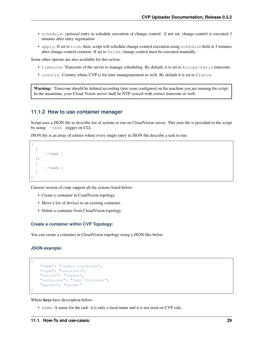- schedule: *optional* entry to schedule execution of change control. if not set, change-control is executed 3 minutes after entry registration
- apply: If set to true, then, script will schedule change-control execution using schedule field or 3 minutes after change-control creation. If set to false, change control must be executed manually.

Some other options are also available for this action:

- timezone: Timezone of the server to manage scheduling. By default, it is set to Europe/Paris timezone.
- country: Country where CVP is for time managemement as well. By default it is set to France.

Warning: Timezone should be defined according time-zone configured on the machine you are running the script. In the meantime, your Cloud Vision server shall be NTP synced with correct timezone as well.

#### <span id="page-32-0"></span>**11.1.2 How to use container manager**

Script uses a JSON file to describe list of actions to run on CloudVision server. This json file is provided to the script by using  $\rightarrow$  json  $\cdot$  trigger on CLI.

JSON file is an array of entries where every single entry in JSON file describe a task to run:

```
[
  {
       //task 1},
  {
       //task 2
  }
]
```
Current version of code support all the actions listed below:

- Create a container in CoudVision topology
- Move a list of devices to an existing container.
- Delete a container from CloudVision topology.

#### **Create a container within CVP Topology:**

You can create a container in CloudVision topology using a JSON like below.

#### **JSON example:**

{

}

```
"name": "Create container",
"type": "container",
"action": "create",
"container": "Test Container",
"parent": "Tenant"
```
Where keys have description below:

• name: A name for the task. it is only a local name and it is not used on CVP side.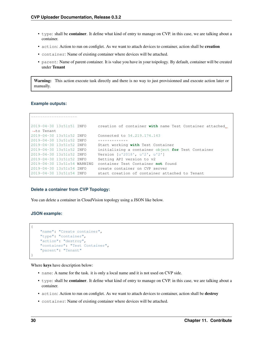- type: shall be **container**. It define what kind of entry to manage on CVP, in this case, we are talking about a container.
- action: Action to run on configlet. As we want to attach devices to container, action shall be creation
- container: Name of existing container where devices will be attached.
- parent: Name of parent container. It is value you have in your toipology. By default, container will be created under Tenant

Warning: This action execute task directly and there is no way to just provisionned and execute action later or manually.

#### **Example outputs:**

```
--------------------
2019-04-30 13:51:51 INFO creation of container with name Test Container attached
˓→to Tenant
2019-04-30 13:51:52 INFO Connected to 54.219.174.143
2019-04-30 13:51:52 INFO *************
2019-04-30 13:51:52 INFO Start working with Test Container
2019-04-30 13:51:52 INFO initializing a container object for Test Container
2019-04-30 13:51:52 INFO Version [u'2018', u'2', u'2']
2019-04-30 13:51:52 INFO Setting API version to v2
2019-04-30 13:51:54 WARNING container Test Container not found
2019-04-30 13:51:54 INFO create container on CVP server
2019-04-30 13:51:54 INFO start creation of container attached to Tenant
```
#### **Delete a container from CVP Topology:**

You can delete a container in CloudVision topology using a JSON like below.

#### **JSON example:**

{

}

```
"name": "Create container",
"type": "container",
"action": "destroy",
"container": "Test Container",
"parent": "Tenant"
```
Where keys have description below:

- name: A name for the task. it is only a local name and it is not used on CVP side.
- type: shall be container. It define what kind of entry to manage on CVP. in this case, we are talking about a container.
- action: Action to run on configlet. As we want to attach devices to container, action shall be destroy
- container: Name of existing container where devices will be attached.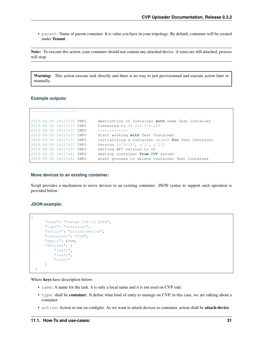• parent: Name of parent container. It is value you have in your toipology. By default, container will be created under Tenant

Note: To execute this action, your container should not contain any attached device. if some are still attached, process will stop.

Warning: This action execute task directly and there is no way to just provisionned and execute action later or manually.

#### **Example outputs:**

```
--------------------
2019-04-30 14:17:36 INFO destruction of container with name Test Container
2019-04-30 14:17:37 INFO Connected to 54.219.174.143
2019-04-30 14:17:37 INFO **************<br>2019-04-30 14:17:37 INFO Start working
                             Start working with Test Container
2019-04-30 14:17:37 INFO initializing a container object for Test Container
2019-04-30 14:17:37 INFO Version [u'2018', u'2', u'2']
2019-04-30 14:17:37 INFO Setting API version to v2
2019-04-30 14:17:41 INFO destroy container from CVP server
2019-04-30 14:17:41 INFO start process to delete container Test Container
```
#### **Move devices to an existing container:**

Script provides a mechanism to move devices to an existing container. JSON syntax to support such operation is provided below:

#### **JSON example:**

{

```
"name": "Change CVX to EVPN",
    "type": "container",
    "action": "attach-device",
    "container": "CVX",
    "apply": true,
    "devices": [
        "leaf1",
        "leaf2",
        "cvx01"
    ]
}
```
Where keys have description below:

- name: A name for the task. it is only a local name and it is not used on CVP side.
- type: shall be container. It define what kind of entry to manage on CVP. in this case, we are talking about a container.
- action: Action to run on configlet. As we want to attach devices to container, action shall be **attach-device**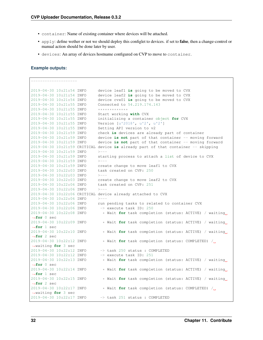- container: Name of existing container where devices will be attached.
- apply: define wether or not we should deploy this configlet to devices. if set to **false**, then a change-control or manual action should be done later by user.
- devices: An array of devices hostname configured on CVP to move to container.

#### **Example outputs:**

```
--------------------
2019-04-30 10:21:54 INFO device leaf1 is going to be moved to CVX
2019-04-30 10:21:54 INFO device leaf2 is going to be moved to CVX
2019-04-30 10:21:54 INFO device cvx01 is going to be moved to CVX
2019-04-30 10:21:55 INFO Connected to 54.219.174.143
2019-04-30 10:21:55 INFO *************
2019-04-30 10:21:55 INFO Start working with CVX
2019-04-30 10:21:55 INFO initializing a container object for CVX
2019-04-30 10:21:55 INFO Version [u'2018', u'2', u'2']
2019-04-30 10:21:55 INFO Setting API version to v2
2019-04-30 10:21:59 INFO check is devices are already part of container
2019-04-30 10:21:59 INFO device is not part of that container -- moving forward
2019-04-30 10:21:59 INFO device is not part of that container -- moving forward
2019-04-30 10:21:59 CRITICAL device is already part of that container -- skipping
2019-04-30 10:21:59 INFO >---
2019-04-30 10:21:59 INFO starting process to attach a list of device to CVX
2019-04-30 10:21:59 INFO >---
2019-04-30 10:21:59 INFO create change to move leaf1 to CVX
2019-04-30 10:22:03 INFO task created on CVP: 250
2019-04-30 10:22:03 INFO >---
2019-04-30 10:22:03 INFO create change to move leaf2 to CVX
2019-04-30 10:22:06 INFO task created on CVP: 251
2019-04-30 10:22:06 INFO >---
2019-04-30 10:22:06 CRITICAL device already attached to CVX
2019-04-30 10:22:06 INFO >---
2019-04-30 10:22:06 INFO run pending tasks to related to container CVX
2019-04-30 10:22:06 INFO -> execute task ID: 250
2019-04-30 10:22:08 INFO * Wait for task completion (status: ACTIVE) / waiting
˓→for 0 sec
2019-04-30 10:22:09 INFO * Wait for task completion (status: ACTIVE) / waiting
˓→for 1 sec
2019-04-30 10:22:10 INFO * Wait for task completion (status: ACTIVE) / waiting
˓→for 2 sec
2019-04-30 10:22:12 INFO * Wait for task completion (status: COMPLETED) /
˓→waiting for 3 sec
2019-04-30 10:22:12 INFO -> task 250 status : COMPLETED
2019-04-30 10:22:12 INFO -> execute task ID: 251
2019-04-30 10:22:13 INFO * Wait for task completion (status: ACTIVE) / waiting
˓→for 0 sec
2019-04-30 10:22:14 INFO * Wait for task completion (status: ACTIVE) / waiting
˓→for 1 sec
2019-04-30 10:22:15 INFO * Wait for task completion (status: ACTIVE) / waiting
˓→for 2 sec
2019-04-30 10:22:17 INFO * Wait for task completion (status: COMPLETED) /
˓→waiting for 3 sec
2019-04-30 10:22:17 INFO -> task 251 status : COMPLETED
```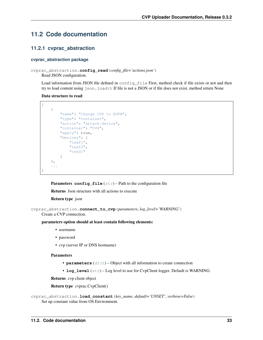## <span id="page-36-3"></span><span id="page-36-0"></span>**11.2 Code documentation**

### <span id="page-36-1"></span>**11.2.1 cvprac\_abstraction**

#### <span id="page-36-2"></span>**cvprac\_abstraction package**

#### cvprac\_abstraction.**config\_read**(*config\_file='actions.json'*)

Read JSON configuration.

Load information from JSON file defined in config\_file First, method check if file exists or not and then try to load content using json.load() If file is not a JSON or if file does not exist, method return None

#### Data structure to read:

```
\lceil{
        "name": "Change CVX to EVPN",
        "type": "container",
        "action": "attach-device",
        "container": "CVX",
        "apply": true,
        "devices": [
             "leaf1",
             "leaf2",
             "cvx01"
        ]
    },
    ...
]
```
**Parameters config\_file**  $(str)$  $(str)$  $(str)$  – Path to the configuration file

Returns Json structure with all actions to execute

#### Return type json

```
cvprac_abstraction.connect_to_cvp(parameters, log_level='WARNING')
```
Create a CVP connection.

#### parameters option should at least contain following elements:

- username
- password
- cvp (server IP or DNS hostname)

#### **Parameters**

- **parameters** ([dict](https://docs.python.org/3/library/stdtypes.html#dict)) Object with all information to create connection
- **log\_level**  $(str)$  $(str)$  $(str)$  Log level to use for CvpClient logger. Default is WARNING.

Returns cvp client object

```
Return type cvprac.CvpClient()
```

```
cvprac_abstraction.load_constant(key_name, default='UNSET', verbose=False)
     Set up constant value from OS Environment.
```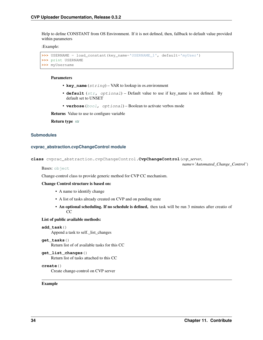<span id="page-37-1"></span>Help to define CONSTANT from OS Environment. If it is not defined, then, fallback to default value provided within parameters

:Example:

```
>>> USERNAME = load_constant(key_name='USERNAME_1', default='myUser')
>>> print USERNAME
>>> myUsername
```
#### Parameters

- **key\_name** (string) VAR to lookup in os.environment
- **default** ([str,](https://docs.python.org/3/library/stdtypes.html#str) optional) Default value to use if key\_name is not defined. By default set to UNSET
- **verbose** ([bool,](https://docs.python.org/3/library/functions.html#bool) optional) Boolean to activate verbos mode

Returns Value to use to configure variable

Return type [str](https://docs.python.org/3/library/stdtypes.html#str)

#### **Submodules**

#### <span id="page-37-0"></span>**cvprac\_abstraction.cvpChangeControl module**

**class** cvprac\_abstraction.cvpChangeControl.**CvpChangeControl**(*cvp\_server*,

Bases: [object](https://docs.python.org/3/library/functions.html#object)

*name='Automated\_Change\_Control'*)

Change-control class to provide generic method for CVP CC mechanism.

#### Change Control structure is based on:

- A name to identify change
- A list of tasks already created on CVP and on pending state
- An optional scheduling. If no schedule is defined, then task will be run 3 minutes after creatio of CC

#### List of public available methods:

**add\_task**()

Append a task to self.\_list\_changes

**get\_tasks**()

Return list of of available tasks for this CC

#### **get\_list\_changes**()

Return list of tasks attached to this CC

**create**()

Create change-control on CVP server

#### Example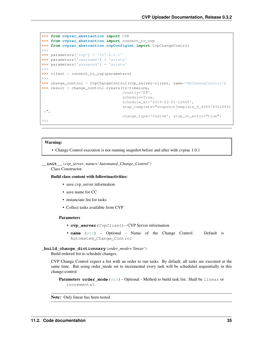```
>>> from cvprac_abstraction import CVP
>>> from cvprac_abstraction import connect_to_cvp
>>> from cvprac_abstraction.cvpConfiglet import CvpChangeControl
>>>
>>> parameters['cvp'] = '127.0.0.1'
>>> parameters['username'] = 'arista'
>>> parameters['password'] = 'arista'
>>>
>>> client = connect_to_cvp(parameters)
>>>
>>> change_control = CvpChangeControl(cvp_server=client, name='MyChanegControl')
>>> result = change_control.create(tz=timezone,
                                    country='FR',
                                    schedule=True,
                                    schedule_at='2019-03-01-12h00',
                                    snap_template="snapshotTemplate_9_4694793526491
\hookrightarrow",
                                    change_type='Custom', stop_on_error="true")
>>>
```
#### Warning:

• Change Control execution is not running snapshot before and after with cvprac 1.0.1

**\_\_init\_\_**(*cvp\_server*, *name='Automated\_Change\_Control'*)

Class Constructor.

Build class content with followinactivities:

- save cvp\_server information
- save name for CC
- instanciate list for tasks
- Collect tasks available from CVP

#### Parameters

- **cvp\_server** (CvpClient) CVP Server information
- **name** ([str](https://docs.python.org/3/library/stdtypes.html#str)) Optional Name of the Change Control. Default is Automated\_Change\_Control

**\_build\_change\_dictionnary**(*order\_mode='linear'*)

Build ordered list to schedule changes.

CVP Change Control expect a list with an order to run tasks. By default, all tasks are executed at the same time. But using order\_mode set to incremental every task will be scheduled sequentially in this change-control

**Parameters order\_mode** ([str](https://docs.python.org/3/library/stdtypes.html#str)) – Optional - Method to build task list. Shall be linear or incremental.

Note: Only linear has been tested.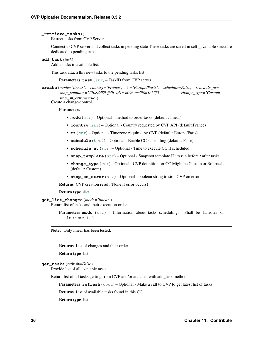#### <span id="page-39-0"></span>**\_retrieve\_tasks**()

Extract tasks from CVP Server.

Connect to CVP server and collect tasks in pending state These tasks are saved in self.\_available structure dedicated to pending tasks.

**add\_task**(*task*)

Add a tasks to available list.

This task attach this new tasks to the pending tasks list.

Parameters **task** ([str](https://docs.python.org/3/library/stdtypes.html#str)) – TaskID from CVP server

**create**(*mode='linear'*, *country='France'*, *tz='Europe/Paris'*, *schedule=False*, *schedule\_at="*, *snap\_template='1708dd89-ff4b-4d1e-b09e-ee490b3e27f0'*, *change\_type='Custom'*, *stop\_on\_error='true'*)

Create a change-control.

#### **Parameters**

- **mode**  $(str)$  $(str)$  $(str)$  Optional method to order tasks (default : linear)
- **country**  $(str)$  $(str)$  $(str)$  Optional Country requested by CVP API (default: France)
- **tz**  $(str)$  $(str)$  $(str)$  Optional Timezone required by CVP (default: Europe/Paris)
- **schedule** ([bool](https://docs.python.org/3/library/functions.html#bool)) Optional Enable CC scheduling (default: False)
- **schedule\_at**  $(str)$  $(str)$  $(str)$  Optional Time to execute CC if scheduled
- **snap\_template** ([str](https://docs.python.org/3/library/stdtypes.html#str)) Optional Snapshot template ID to run before / after tasks
- **change\_type** ([str](https://docs.python.org/3/library/stdtypes.html#str)) Optional CVP definition for CC Might be Custom or Rollback. (default: Custom)
- **stop\_on\_error**  $(str)$  $(str)$  $(str)$  Optional boolean string to stop CVP on errors

Returns CVP creation result (None if error occurs)

#### Return type [dict](https://docs.python.org/3/library/stdtypes.html#dict)

#### **get\_list\_changes**(*mode='linear'*)

Return list of tasks and their execution order.

Parameters mode  $(s \text{tr})$  – Information about tasks scheduling. Shall be linear or incremental.

Note: Only linear has been tested.

Returns List of changes and their order

#### Return type [list](https://docs.python.org/3/library/stdtypes.html#list)

```
get_tasks(refresh=False)
```
Provide list of all available tasks.

Return list of all tasks getting from CVP and/or attached with add\_task method.

**Parameters refresh** ([bool](https://docs.python.org/3/library/functions.html#bool)) – Optional - Make a call to CVP to get latest list of tasks

Returns List of available tasks found in this CC

Return type [list](https://docs.python.org/3/library/stdtypes.html#list)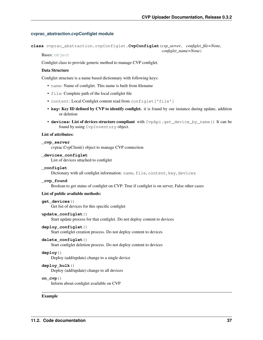#### <span id="page-40-1"></span><span id="page-40-0"></span>**cvprac\_abstraction.cvpConfiglet module**

**class** cvprac\_abstraction.cvpConfiglet.**CvpConfiglet**(*cvp\_server*, *configlet\_file=None*,

*configlet\_name=None*)

Bases: [object](https://docs.python.org/3/library/functions.html#object)

Configlet class to provide generic method to manage CVP configlet.

#### Data Structure

Configlet structure is a name based dictionnary with following keys:

- name: Name of configlet. This name is built from filename
- file: Complete path of the local configlet file
- content: Local Configlet content read from configlet ['file']
- **key**: Key ID defined by CVP to identify configlet. it is found by our instance during update, addition or deletion
- **devices**: List of devices structure compliant with CvpApi.get\_device\_by\_name() It can be found by using CvpInventory object.

#### List of attributes:

#### **\_cvp\_server**

cvprac.CvpClient() object to manage CVP connection

#### **\_devices\_configlet**

List of devices attached to configlet

#### **\_configlet**

Dictionary with all configlet information: name, file, content, key, devices

#### **\_cvp\_found**

Boolean to get status of configlet on CVP: True if configlet is on server, False other cases

#### List of public available methods:

#### **get\_devices**()

Get list of devices for this specific configlet

#### **update\_configlet**()

Start update process for that configlet. Do not deploy content to devices

#### **deploy\_configlet**()

Start configlet creation process. Do not deploy content to devices

### **delete\_configlet**()

Start configlet deletion process. Do not deploy content to devices

#### **deploy**()

Deploy (add/update) change to a single device

#### **deploy\_bulk**()

Deploy (add/update) change to all devices

#### **on\_cvp**()

Inform about configlet available on CVP

#### Example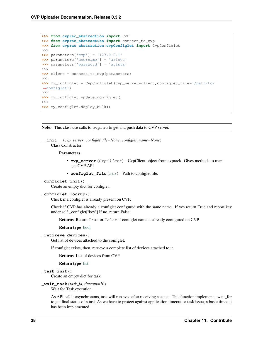```
>>> from cvprac_abstraction import CVP
>>> from cvprac_abstraction import connect_to_cvp
>>> from cvprac_abstraction.cvpConfiglet import CvpConfiglet
>>>
>>> parameters['cvp'] = '127.0.0.1'
>>> parameters['username'] = 'arista'
>>> parameters['password'] = 'arista'
>>>
>>> client = connect_to_cvp(parameters)
>>>
>>> my_configlet = CvpConfiglet(cvp_server=client,configlet_file='/path/to/
˓→configlet')
>>>
>>> my_configlet.update_configlet()
>>>
>>> my_configlet.deploy_bulk()
```
Note: This class use calls to cvprac to get and push data to CVP server.

**\_\_init\_\_**(*cvp\_server*, *configlet\_file=None*, *configlet\_name=None*) Class Constructor.

#### Parameters

- **cvp\_server** (CvpClient) CvpClient object from cvprack. Gives methods to manage CVP API
- **configlet\_file** ([str](https://docs.python.org/3/library/stdtypes.html#str)) Path to configlet file.

#### **\_configlet\_init**()

Create an empty dict for configlet.

#### **\_configlet\_lookup**()

Check if a configlet is already present on CVP.

Check if CVP has already a configlet configured with the same name. If yes return True and report key under self.\_configlet['key'] If no, return False

Returns Return True or False if configlet name is already configured on CVP

#### Return type [bool](https://docs.python.org/3/library/functions.html#bool)

#### **\_retireve\_devices**()

Get list of devices attached to the configlet.

If configlet exists, then, retrieve a complete list of devices attached to it.

#### Returns List of devices from CVP

#### Return type [list](https://docs.python.org/3/library/stdtypes.html#list)

#### **\_task\_init**()

Create an empty dict for task.

#### **\_wait\_task**(*task\_id*, *timeout=10*)

Wait for Task execution.

As API call is asynchronous, task will run avec after receiving a status. This function implement a wait\_for to get final status of a task As we have to protect against application timeout or task issue, a basic timeout has been implemented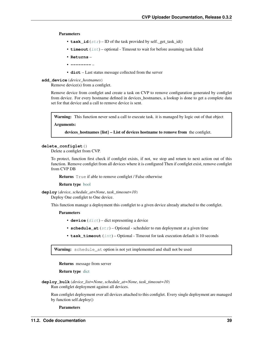#### <span id="page-42-0"></span>Parameters

- **task\_id**  $(str)$  $(str)$  $(str)$  ID of the task provided by self.\_get\_task\_id()
- **timeout** ([int](https://docs.python.org/3/library/functions.html#int)) optional Timeout to wait for before assuming task failed
- **Returns** –
- **--------** –
- **dict** Last status message collected from the server

#### **add\_device**(*device\_hostnames*)

Remove device(s) from a configlet.

Remove device from configlet and create a task on CVP to remove configuration generated by configlet from device. For every hostname defined in devices\_hostnames, a lookup is done to get a complete data set for that device and a call to remove device is sent.

**Warning:** This function never send a call to execute task, it is managed by logic out of that object

Arguments:

devices\_hostnames {list} – List of devices hostname to remove from the configlet.

#### **delete\_configlet**()

Delete a configlet from CVP.

To protect, function first check if configlet exists, if not, we stop and return to next action out of this function. Remove configlet from all devices where it is configured Then if configlet exist, remove configlet from CVP DB

Returns True if able to remove configlet / False otherwise

#### Return type [bool](https://docs.python.org/3/library/functions.html#bool)

**deploy**(*device*, *schedule\_at=None*, *task\_timeout=10*)

Deploy One configlet to One device.

This function manage a deployment this configlet to a given device already attached to the configlet.

#### Parameters

- **device** ([dict](https://docs.python.org/3/library/stdtypes.html#dict)) dict representing a device
- **schedule\_at**  $(s \text{tr})$  Optional scheduler to run deployment at a given time
- **task\_timeout** ([int](https://docs.python.org/3/library/functions.html#int)) Optional Timeout for task execution default is 10 seconds

Warning: schedule\_at option is not yet implemented and shall not be used

Returns message from server

#### Return type [dict](https://docs.python.org/3/library/stdtypes.html#dict)

**deploy\_bulk**(*device\_list=None*, *schedule\_at=None*, *task\_timeout=10*) Run configlet deployment against all devices.

Run configlet deployment over all devices attached to this configlet. Every single deployment are managed by function self.deploy()

**Parameters**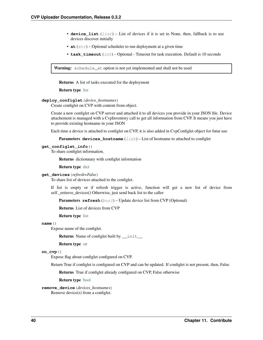- <span id="page-43-0"></span>• **device** [list](https://docs.python.org/3/library/stdtypes.html#list)  $(llist)$  – List of devices if it is set to None, then, fallback is to use devices discover initially
- **at**  $(str)$  $(str)$  $(str)$  Optional scheduler to run deployment at a given time
- **task\_timeout** ([int](https://docs.python.org/3/library/functions.html#int)) Optional Timeout for task execution. Default is 10 seconds

Warning: schedule\_at option is not yet implemented and shall not be used

Returns A list of tasks executed for the deployment

Return type [list](https://docs.python.org/3/library/stdtypes.html#list)

#### **deploy\_configlet**(*device\_hostnames*)

Create configlet on CVP with content from object.

Create a new configlet on CVP server and attached it to all devices you provide in your JSON file. Device attachement is managed with a CvpInventory call to get all information from CVP. It means you just have to provide existing hostname in your JSON

Each time a device is attached to configlet on CVP, it is also added in CvpConfiglet object for futur use

**Parameters devices\_hostname** ([list](https://docs.python.org/3/library/stdtypes.html#list)) – List of hostname to attached to configlet

#### **get\_configlet\_info**()

To share configlet information.

Returns dictionnary with configlet information

Return type [dict](https://docs.python.org/3/library/stdtypes.html#dict)

#### **get\_devices**(*refresh=False*)

To share list of devices attached to the configlet.

If list is empty or if refresh trigger is active, function will get a new list of device from self.\_retireve\_devices() Otherwise, just send back list to the caller

**Parameters refresh** ([bool](https://docs.python.org/3/library/functions.html#bool)) – Update device list from CVP (Optional)

Returns List of devices from CVP

Return type [list](https://docs.python.org/3/library/stdtypes.html#list)

#### **name**()

Expose name of the configlet.

Returns Name of configlet built by \_\_init\_

#### Return type [str](https://docs.python.org/3/library/stdtypes.html#str)

#### **on\_cvp**()

Expose flag about configlet configured on CVP.

Return True if configlet is configured on CVP and can be updated. If configlet is not present, then, False

Returns True if configlet already configured on CVP, False otherwise

#### Return type [bool](https://docs.python.org/3/library/functions.html#bool)

**remove\_device**(*devices\_hostnames*) Remove device(s) from a configlet.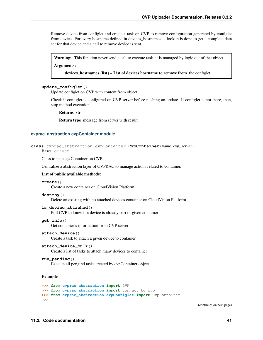<span id="page-44-1"></span>Remove device from configlet and create a task on CVP to remove configuration generated by configlet from device. For every hostname defined in devices\_hostnames, a lookup is done to get a complete data set for that device and a call to remove device is sent.

Warning: This function never send a call to execute task. it is managed by logic out of that object Arguments:

devices\_hostnames {list} – List of devices hostname to remove from the configlet.

#### **update\_configlet**()

Update configlet on CVP with content from object.

Check if configlet is configured on CVP server before pushing an update. If configlet is not there, then, stop method execution.

Returns str

Return type message from server with result

#### <span id="page-44-0"></span>**cvprac\_abstraction.cvpContainer module**

```
class cvprac_abstraction.cvpContainer.CvpContainer(name, cvp_server)
    Bases: object
```
Class to manage Container on CVP.

Centralize a abstraction layer of CVPRAC to manage actions related to container.

#### List of public available methods:

#### **create**()

Create a new container on CloudVision Platform

#### **destroy**()

Delete an existing with no attached devices container on CloudVision Platform

#### **is\_device\_attached**()

Poll CVP to know if a device is already part of given container

#### **get\_info**()

Get container's information from CVP server

**attach\_device**()

Create a task to attach a given device to container

```
attach_device_bulk()
```
Create a list of tasks to attach many devices to container

#### **run\_pending**()

Execute all pengind tasks created by cvpContainer object.

Example

```
>>> from cvprac_abstraction import CVP
>>> from cvprac_abstraction import connect_to_cvp
>>> from cvprac_abstraction.cvpConfiglet import CvpContainer
\gt
```
(continues on next page)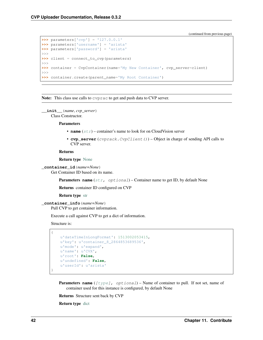(continued from previous page)

```
>>> parameters['cvp'] = '127.0.0.1'
>>> parameters['username'] = 'arista'
>>> parameters['password'] = 'arista'
>>>
>>> client = connect_to_cvp(parameters)
>>>
>>> container = CvpContainer(name='My New Container', cvp_server=client)
>>>
>>> container.create(parent_name='My Root Container')
```
Note: This class use calls to cvprac to get and push data to CVP server.

```
__init__(name, cvp_server)
     Class Constructor.
```
Parameters

- **name** ([str](https://docs.python.org/3/library/stdtypes.html#str)) container's name to look for on CloudVision server
- **cvp\_server** (cvprack. CvpClient()) Object in charge of sending API calls to CVP server.

Returns

Return type [None](https://docs.python.org/3/library/constants.html#None)

```
_container_id(name=None)
```
Get Container ID based on its name.

**Parameters name** ([str,](https://docs.python.org/3/library/stdtypes.html#str) optional) – Container name to get ID, by default None

Returns container ID configured on CVP

Return type [str](https://docs.python.org/3/library/stdtypes.html#str)

```
_container_info(name=None)
```
Pull CVP to get container information.

Execute a call against CVP to get a dict of information.

Structure is:

{

}

```
u'dateTimeInLongFormat': 1513002053415,
u'key': u'container_8_2864853689536',
u'mode': u'expand',
u'name': u'CVX',
u'root': False,
u'undefined': False,
u'userId': u'arista'
```
**Parameters name** ([\[type\]](https://docs.python.org/3/library/functions.html#type), optional] – Name of container to pull. If not set, name of container used for this instance is configured, by default None

Returns Structure sent back by CVP

Return type [dict](https://docs.python.org/3/library/stdtypes.html#dict)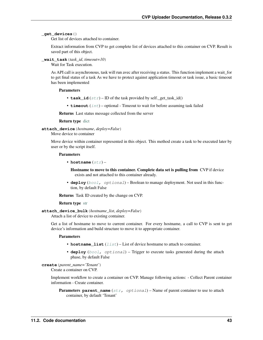#### <span id="page-46-0"></span>**\_get\_devices**()

Get list of devices attached to container.

Extract information from CVP to get complete list of devices attached to this container on CVP. Result is saved part of this object.

#### **\_wait\_task**(*task\_id*, *timeout=10*)

Wait for Task execution.

As API call is asynchronous, task will run avec after receiving a status. This function implement a wait\_for to get final status of a task As we have to protect against application timeout or task issue, a basic timeout has been implemented

#### Parameters

- **task\_id**  $(str)$  $(str)$  $(str)$  ID of the task provided by self.\_get\_task\_id()
- **timeout** ([int](https://docs.python.org/3/library/functions.html#int)) optional Timeout to wait for before assuming task failed

Returns Last status message collected from the server

Return type [dict](https://docs.python.org/3/library/stdtypes.html#dict)

**attach\_device**(*hostname*, *deploy=False*)

Move device to container

Move device within container represented in this object. This method create a task to be executed later by user or by the script itself.

#### Parameters

• **hostname**  $(str)$  $(str)$  $(str)$  –

Hostname to move to this container. Complete data set is pulling from CVP if device exists and not attached to this container already.

• **deploy** ([bool,](https://docs.python.org/3/library/functions.html#bool) optional) – Boolean to manage deployment. Not used in this function, by default False

Returns Task ID created by the change on CVP.

#### Return type [str](https://docs.python.org/3/library/stdtypes.html#str)

```
attach_device_bulk(hostname_list, deploy=False)
```
Attach a list of device to existing container.

Get a list of hostname to move to current container. For every hostname, a call to CVP is sent to get device's information and build structure to move it to appropriate container.

#### **Parameters**

- **hostname\_[list](https://docs.python.org/3/library/stdtypes.html#list)** (list) List of device hostname to attach to container.
- **deploy** ([bool,](https://docs.python.org/3/library/functions.html#bool) optional) Trigger to execute tasks generated during the attach phase, by default False

### **create**(*parent\_name='Tenant'*)

Create a container on CVP.

Implement workflow to create a container on CVP. Manage following actions: - Collect Parent container information - Create container.

**Parameters parent\_name** ([str,](https://docs.python.org/3/library/stdtypes.html#str) optional) – Name of parent container to use to attach container, by default 'Tenant'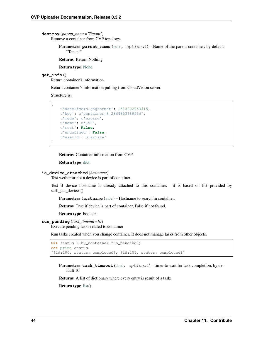<span id="page-47-0"></span>**destroy**(*parent\_name='Tenant'*) Remove a container from CVP topology.

> Parameters parent\_name ([str,](https://docs.python.org/3/library/stdtypes.html#str) optional) – Name of the parent container, by default "Tenant"

Returns Return Nothing

Return type [None](https://docs.python.org/3/library/constants.html#None)

#### **get\_info**()

{

}

Return container's information.

Return container's information pulling from CloudVision server.

Structure is:

```
u'dateTimeInLongFormat': 1513002053415,
u'key': u'container_8_2864853689536',
u'mode': u'expand',
u'name': u'CVX',
u'root': False,
u'undefined': False,
u'userId': u'arista'
```
Returns Container information from CVP

Return type [dict](https://docs.python.org/3/library/stdtypes.html#dict)

#### **is\_device\_attached**(*hostname*)

Test wether or not a device is part of container.

Test if device hostname is already attached to this container. it is based on list provided by self.\_get\_devices()

Parameters **hostname** ([str](https://docs.python.org/3/library/stdtypes.html#str)) – Hostname to search in container.

Returns True if device is part of container, False if not found.

Return type boolean

#### **run\_pending**(*task\_timeout=10*)

Execute pending tasks related to container

Run tasks created when you change container. It does not manage tasks from other objects.

```
>>> status = my_container.run_pending()
>>> print status
[{id:200, status: completed}, {id:201, status: completed}]
```
Parameters task\_timeout ([int,](https://docs.python.org/3/library/functions.html#int) optional) – timer to wait for task completion, by default 10

Returns A list of dictionary where every entry is result of a task:

Return type [list\(](https://docs.python.org/3/library/stdtypes.html#list))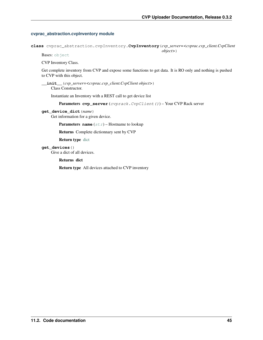#### <span id="page-48-1"></span><span id="page-48-0"></span>**cvprac\_abstraction.cvpInventory module**

**class** cvprac\_abstraction.cvpInventory.**CvpInventory**(*cvp\_server=<cvprac.cvp\_client.CvpClient object>*)

Bases: [object](https://docs.python.org/3/library/functions.html#object)

CVP Inventory Class.

Get complete inventory from CVP and expose some functions to get data. It is RO only and nothing is pushed to CVP with this object.

**\_\_init\_\_**(*cvp\_server=<cvprac.cvp\_client.CvpClient object>*) Class Constructor.

Instantiate an Inventory with a REST call to get device list

Parameters cvp\_server (cvprack.CvpClient()) – Your CVP Rack server

**get\_device\_dict**(*name*)

Get information for a given device.

**Parameters name** ([str](https://docs.python.org/3/library/stdtypes.html#str)) – Hostname to lookup

Returns Complete dictionnary sent by CVP

Return type [dict](https://docs.python.org/3/library/stdtypes.html#dict)

**get\_devices**()

Give a dict of all devices.

Returns dict

Return type All devices attached to CVP inventory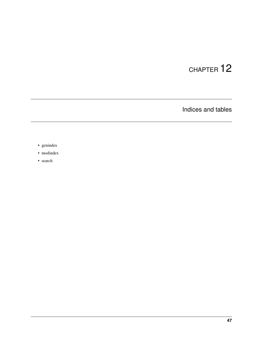Indices and tables

- <span id="page-50-0"></span>• genindex
- modindex
- search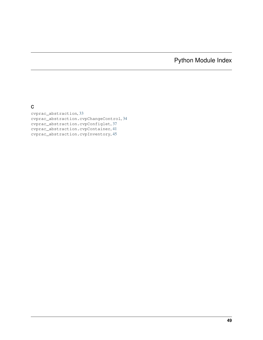## Python Module Index

<span id="page-52-0"></span>c

cvprac\_abstraction, [33](#page-36-2) cvprac\_abstraction.cvpChangeControl, [34](#page-37-0) cvprac\_abstraction.cvpConfiglet, [37](#page-40-0) cvprac\_abstraction.cvpContainer, [41](#page-44-0) cvprac\_abstraction.cvpInventory, [45](#page-48-0)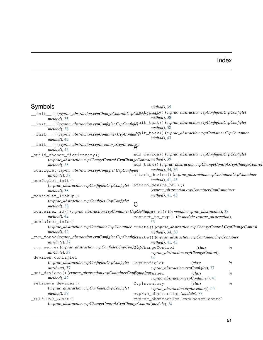## Index

<span id="page-54-0"></span>

| Symbols                                                                                                                              |              | $method$ ), 35                                                  |        |    |
|--------------------------------------------------------------------------------------------------------------------------------------|--------------|-----------------------------------------------------------------|--------|----|
| _init__()(cvprac_abstraction.cvpChangeControl.Cvp <del>ChangeControl</del> ()(cvprac_abstraction.cvpConfiglet.CvpConfiglet_          |              | $method$ , 38                                                   |        |    |
| $method$ , 35                                                                                                                        |              |                                                                 |        |    |
| _init__()(cvprac_abstraction.cvpConfiglet.CvpConfigle\dit_task()(cvprac_abstraction.cvpConfiglet.CvpConfiglet_<br>$method$ , 38      |              | $method$ , 38                                                   |        |    |
| _init__()(cvprac_abstraction.cvpContainer.CvpContain $\theta$ <sup>it_task()(cvprac_abstraction.cvpContainer.CvpContainer_</sup>     |              |                                                                 |        |    |
| $method$ , 42                                                                                                                        |              | $method$ , 43                                                   |        |    |
| _init_()(cvprac_abstraction.cvpInventory.CvpInventory                                                                                |              |                                                                 |        |    |
| $method$ ), 45                                                                                                                       |              |                                                                 |        |    |
| _build_change_dictionnary()                                                                                                          |              | add_device()(cvprac_abstraction.cvpConfiglet.CvpConfiglet       |        |    |
| (cvprac_abstraction.cvpChangeControl.CvpChangeControlmethod), 39                                                                     |              |                                                                 |        |    |
| $method$ , 35                                                                                                                        |              | add_task()(cvprac_abstraction.cvpChangeControl.CvpChangeControl |        |    |
| _configlet(cvprac_abstraction.cvpConfiglet.CvpConfiglet                                                                              |              | <i>method</i> ), 34, 36                                         |        |    |
| attribute), 37                                                                                                                       |              | attach_device()(cvprac_abstraction.cvpContainer.CvpContainer    |        |    |
| _configlet_init()                                                                                                                    |              | method), $41, 43$                                               |        |    |
| (cvprac_abstraction.cvpConfiglet.CvpConfiglet                                                                                        |              | attach_device_bulk()                                            |        |    |
| method), 38                                                                                                                          |              | (cvprac_abstraction.cvpContainer.CvpContainer                   |        |    |
| _configlet_lookup()                                                                                                                  |              | <i>method</i> ), 41, 43                                         |        |    |
| (cvprac_abstraction.cvpConfiglet.CvpConfiglet                                                                                        |              |                                                                 |        |    |
| $method$ , 38                                                                                                                        |              |                                                                 |        |    |
| _container_id()(cvprac_abstraction.cvpContainer.CvpGofitaineread()(in module cvprac_abstraction), 33                                 |              |                                                                 |        |    |
| $method$ , 42                                                                                                                        |              | connect_to_cvp() (in module cvprac_abstraction),                |        |    |
| _container_info()                                                                                                                    |              | 33                                                              |        |    |
| (cvprac_abstraction.cvpContainer.CvpContainer create () (cvprac_abstraction.cvpChangeControl.CvpChangeControl<br>$method$ , 42       |              | method), 34, 36                                                 |        |    |
| _cvp_found(cvprac_abstraction.cvpConfiglet.CvpConfigleteate()(cvprac_abstraction.cvpContainer.CvpContainer<br><i>attribute</i> ), 37 |              | method), $41, 43$                                               |        |    |
| _cvp_server(cvprac_abstraction.cvpConfiglet.CvpConfigletChangeControl                                                                |              |                                                                 | (class | in |
| attribute), 37                                                                                                                       |              | cvprac_abstraction.cvpChangeControl),                           |        |    |
| _devices_configlet                                                                                                                   |              | 34                                                              |        |    |
| (cvprac_abstraction.cvpConfiglet.CvpConfiglet                                                                                        | CvpConfiglet |                                                                 | (class | in |
| attribute), 37                                                                                                                       |              | cvprac_abstraction.cvpConfiglet), 37                            |        |    |
| _get_devices()(cvprac_abstraction.cvpContainer.CvpCoptainerainer                                                                     |              |                                                                 | (class | in |
| $method$ , 42                                                                                                                        |              | cvprac_abstraction.cvpContainer), 41                            |        |    |
| _retireve_devices()                                                                                                                  | CvpInventory |                                                                 | (class | in |
| (cvprac_abstraction.cvpConfiglet.CvpConfiglet                                                                                        |              | cvprac_abstraction.cvpInventory), 45                            |        |    |
| method), 38                                                                                                                          |              | cvprac_abstraction(module), 33                                  |        |    |
| _retrieve_tasks()                                                                                                                    |              | cvprac_abstraction.cvpChangeControl                             |        |    |
| (cvprac_abstraction.cvpChangeControl.CvpChangeControl(module), 34                                                                    |              |                                                                 |        |    |